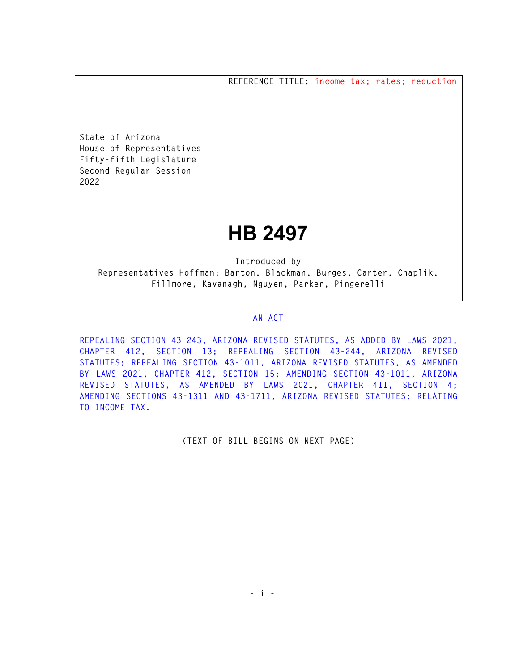**REFERENCE TITLE: income tax; rates; reduction** 

**State of Arizona House of Representatives Fifty-fifth Legislature Second Regular Session 2022** 

## **HB 2497**

**Introduced by Representatives Hoffman: Barton, Blackman, Burges, Carter, Chaplik, Fillmore, Kavanagh, Nguyen, Parker, Pingerelli** 

## **AN ACT**

**REPEALING SECTION 43-243, ARIZONA REVISED STATUTES, AS ADDED BY LAWS 2021, CHAPTER 412, SECTION 13; REPEALING SECTION 43-244, ARIZONA REVISED STATUTES; REPEALING SECTION 43-1011, ARIZONA REVISED STATUTES, AS AMENDED BY LAWS 2021, CHAPTER 412, SECTION 15; AMENDING SECTION 43-1011, ARIZONA REVISED STATUTES, AS AMENDED BY LAWS 2021, CHAPTER 411, SECTION 4; AMENDING SECTIONS 43-1311 AND 43-1711, ARIZONA REVISED STATUTES; RELATING TO INCOME TAX.** 

**(TEXT OF BILL BEGINS ON NEXT PAGE)**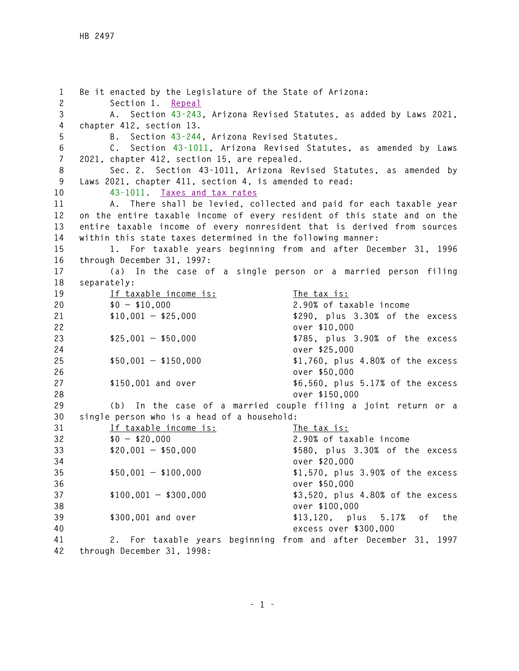**1 Be it enacted by the Legislature of the State of Arizona: 2 Section 1. Repeal 3 A. Section 43-243, Arizona Revised Statutes, as added by Laws 2021, 4 chapter 412, section 13. 5 B. Section 43-244, Arizona Revised Statutes. 6 C. Section 43-1011, Arizona Revised Statutes, as amended by Laws 7 2021, chapter 412, section 15, are repealed. 8 Sec. 2. Section 43-1011, Arizona Revised Statutes, as amended by 9 Laws 2021, chapter 411, section 4, is amended to read: 10 43-1011. Taxes and tax rates 11 A. There shall be levied, collected and paid for each taxable year 12 on the entire taxable income of every resident of this state and on the 13 entire taxable income of every nonresident that is derived from sources 14 within this state taxes determined in the following manner: 15 1. For taxable years beginning from and after December 31, 1996 16 through December 31, 1997: 17 (a) In the case of a single person or a married person filing 18 separately: 19 If taxable income is: The tax is: 20 \$0 — \$10,000 2.90% of taxable income 21 \$10,001 — \$25,000 \$290, plus 3.30% of the excess 22 over \$10,000 23 \$25,001 — \$50,000 \$785, plus 3.90% of the excess 24 over \$25,000 25 \$50,001 — \$150,000 \$1,760, plus 4.80% of the excess 26 over \$50,000 27 \$150,001 and over \$6,560, plus 5.17% of the excess 28 over \$150,000 29 (b) In the case of a married couple filing a joint return or a 30 single person who is a head of a household: 31 If taxable income is: The tax is: 32 \$0 — \$20,000 2.90% of taxable income 33 \$20,001 — \$50,000 \$580, plus 3.30% of the excess 34 over \$20,000 35 \$50,001 — \$100,000 \$1,570, plus 3.90% of the excess 36 over \$50,000 37 \$100,001 — \$300,000 \$3,520, plus 4.80% of the excess 38 over \$100,000 39 \$300,001 and over \$13,120, plus 5.17% of the 40 excess over \$300,000 41 2. For taxable years beginning from and after December 31, 1997 42 through December 31, 1998:**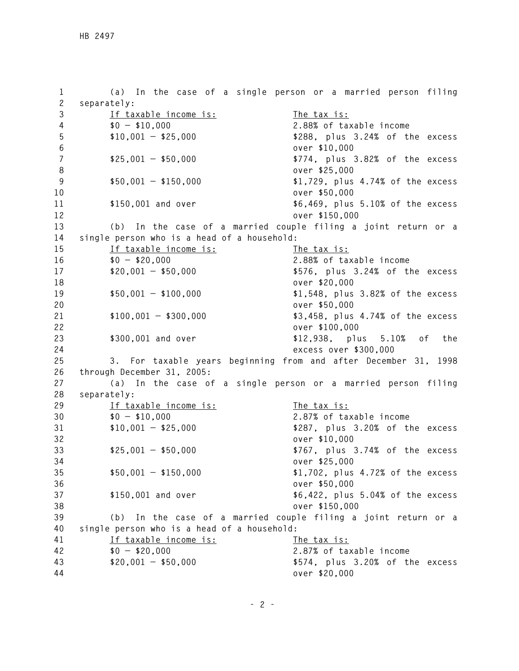**1 (a) In the case of a single person or a married person filing 2 separately: 3 If taxable income is: The tax is: 4 \$0 — \$10,000 2.88% of taxable income 5 \$10,001 — \$25,000 \$288, plus 3.24% of the excess 6 over \$10,000 7 \$25,001 — \$50,000 \$774, plus 3.82% of the excess 8 over \$25,000 9 \$50,001 — \$150,000 \$1,729, plus 4.74% of the excess 10 over \$50,000 11 \$150,001 and over \$6,469, plus 5.10% of the excess 12 over \$150,000 13 (b) In the case of a married couple filing a joint return or a 14 single person who is a head of a household: 15 If taxable income is: The tax is: 16 \$0 — \$20,000 2.88% of taxable income 17 \$20,001 — \$50,000 \$576, plus 3.24% of the excess 18 over \$20,000 19 \$50,001 — \$100,000 \$1,548, plus 3.82% of the excess 20 over \$50,000 21 \$100,001 — \$300,000 \$3,458, plus 4.74% of the excess 22 over \$100,000 23 \$300,001 and over \$12,938, plus 5.10% of the 24 excess over \$300,000 25 3. For taxable years beginning from and after December 31, 1998 26 through December 31, 2005: 27 (a) In the case of a single person or a married person filing 28 separately: 29 If taxable income is: The tax is: 30 \$0 — \$10,000 2.87% of taxable income 31 \$10,001 — \$25,000 \$287, plus 3.20% of the excess 32 over \$10,000 33 \$25,001 — \$50,000 \$767, plus 3.74% of the excess 34 over \$25,000 35 \$50,001 — \$150,000 \$1,702, plus 4.72% of the excess 36 over \$50,000 37 \$150,001 and over \$6,422, plus 5.04% of the excess 38 over \$150,000 39 (b) In the case of a married couple filing a joint return or a 40 single person who is a head of a household: 41 If taxable income is: The tax is: 42 \$0 — \$20,000 2.87% of taxable income 43 \$20,001 — \$50,000 \$574, plus 3.20% of the excess 44 over \$20,000**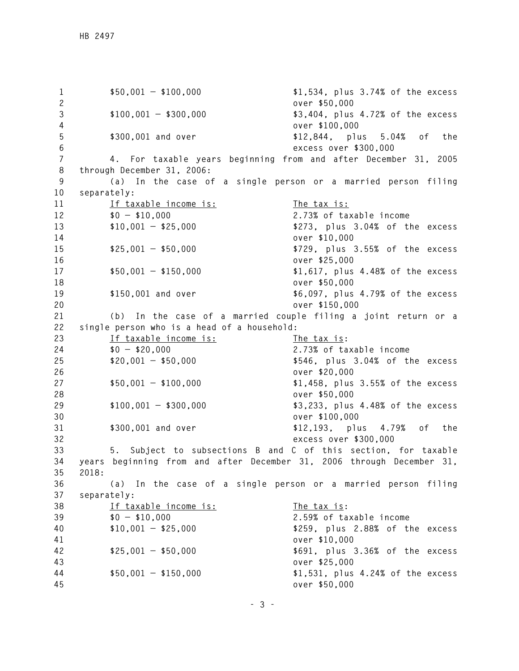**1 \$50,001 — \$100,000 \$1,534, plus 3.74% of the excess 2 over \$50,000 3 \$100,001 — \$300,000 \$3,404, plus 4.72% of the excess 4 over \$100,000 5 \$300,001 and over \$12,844, plus 5.04% of the 6 excess over \$300,000 7 4. For taxable years beginning from and after December 31, 2005 8 through December 31, 2006: 9 (a) In the case of a single person or a married person filing 10 separately:**  11 If taxable income is: The tax is: **12 \$0 — \$10,000 2.73% of taxable income 13 \$10,001 — \$25,000 \$273, plus 3.04% of the excess 14 over \$10,000 15 \$25,001 — \$50,000 \$729, plus 3.55% of the excess 16 over \$25,000 17 \$50,001 — \$150,000 \$1,617, plus 4.48% of the excess 18 over \$50,000 19 \$150,001 and over \$6,097, plus 4.79% of the excess 20 over \$150,000 21 (b) In the case of a married couple filing a joint return or a 22 single person who is a head of a household: 23 If taxable income is: The tax is: 24 \$0 — \$20,000 2.73% of taxable income 25 \$20,001 — \$50,000 \$546, plus 3.04% of the excess 26 over \$20,000 27 \$50,001 — \$100,000 \$1,458, plus 3.55% of the excess 28 over \$50,000 29 \$100,001 — \$300,000 \$3,233, plus 4.48% of the excess 30 over \$100,000 31 \$300,001 and over \$12,193, plus 4.79% of the 32 excess over \$300,000 33 5. Subject to subsections B and C of this section, for taxable 34 years beginning from and after December 31, 2006 through December 31, 35 2018: 36 (a) In the case of a single person or a married person filing 37 separately: 38 If taxable income is: The tax is: 39 \$0 — \$10,000 2.59% of taxable income 40 \$10,001 — \$25,000 \$259, plus 2.88% of the excess 41 over \$10,000 42 \$25,001 — \$50,000 \$691, plus 3.36% of the excess 43 over \$25,000 44 \$50,001 — \$150,000 \$1,531, plus 4.24% of the excess 45 over \$50,000**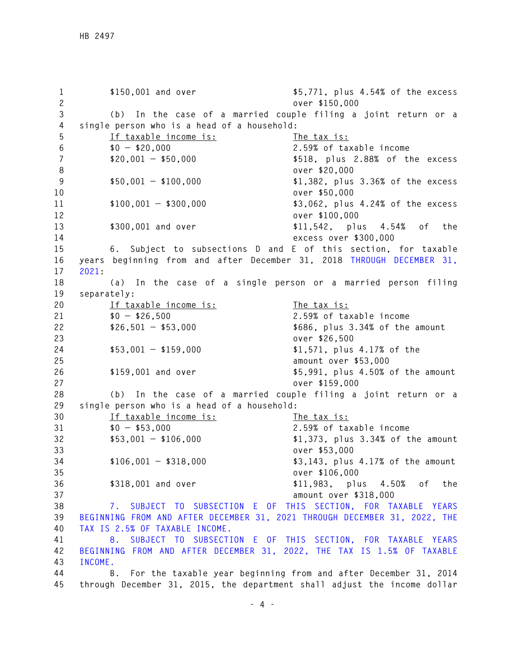**1 \$150,001 and over \$5,771, plus 4.54% of the excess 2 over \$150,000 3 (b) In the case of a married couple filing a joint return or a 4 single person who is a head of a household: 5 If taxable income is: The tax is: 6 \$0 — \$20,000 2.59% of taxable income 7 \$20,001 — \$50,000 \$518, plus 2.88% of the excess 8 over \$20,000 9 \$50,001 — \$100,000 \$1,382, plus 3.36% of the excess 10 over \$50,000 11 \$100,001 — \$300,000 \$3,062, plus 4.24% of the excess 12 over \$100,000 13 \$300,001 and over \$11,542, plus 4.54% of the 14 excess over \$300,000 15 6. Subject to subsections D and E of this section, for taxable 16 years beginning from and after December 31, 2018 THROUGH DECEMBER 31, 17 2021: 18 (a) In the case of a single person or a married person filing 19 separately: 20 If taxable income is: The tax is: 21 \$0 — \$26,500 2.59% of taxable income 22 \$26,501 — \$53,000 \$686, plus 3.34% of the amount 23 over \$26,500 24 \$53,001 — \$159,000 \$1,571, plus 4.17% of the 25 amount over \$53,000 26 \$159,001 and over \$5,991, plus 4.50% of the amount 27 over \$159,000 28 (b) In the case of a married couple filing a joint return or a 29 single person who is a head of a household: 30 If taxable income is: The tax is: 31 \$0 — \$53,000 2.59% of taxable income 32 \$53,001 — \$106,000 \$1,373, plus 3.34% of the amount 33 over \$53,000 34 \$106,001 — \$318,000 \$3,143, plus 4.17% of the amount 35 over \$106,000 36 \$318,001 and over \$11,983, plus 4.50% of the 37 amount over \$318,000 38 7. SUBJECT TO SUBSECTION E OF THIS SECTION, FOR TAXABLE YEARS 39 BEGINNING FROM AND AFTER DECEMBER 31, 2021 THROUGH DECEMBER 31, 2022, THE 40 TAX IS 2.5% OF TAXABLE INCOME. 41 8. SUBJECT TO SUBSECTION E OF THIS SECTION, FOR TAXABLE YEARS 42 BEGINNING FROM AND AFTER DECEMBER 31, 2022, THE TAX IS 1.5% OF TAXABLE 43 INCOME. 44 B. For the taxable year beginning from and after December 31, 2014 45 through December 31, 2015, the department shall adjust the income dollar**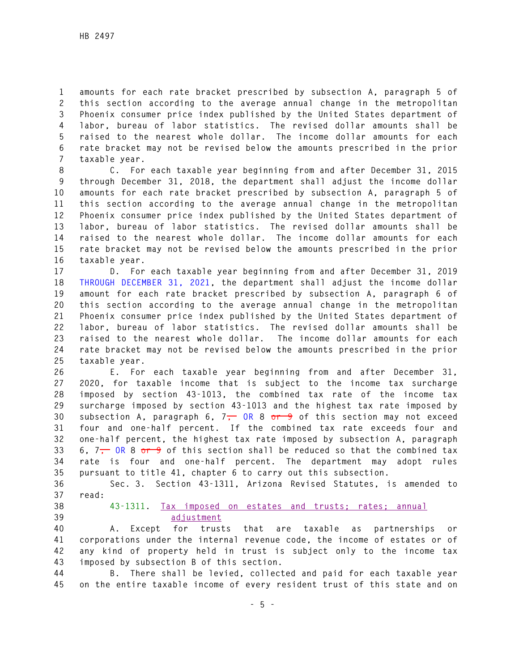**1 amounts for each rate bracket prescribed by subsection A, paragraph 5 of 2 this section according to the average annual change in the metropolitan 3 Phoenix consumer price index published by the United States department of 4 labor, bureau of labor statistics. The revised dollar amounts shall be 5 raised to the nearest whole dollar. The income dollar amounts for each 6 rate bracket may not be revised below the amounts prescribed in the prior 7 taxable year.** 

**8 C. For each taxable year beginning from and after December 31, 2015 9 through December 31, 2018, the department shall adjust the income dollar 10 amounts for each rate bracket prescribed by subsection A, paragraph 5 of 11 this section according to the average annual change in the metropolitan 12 Phoenix consumer price index published by the United States department of 13 labor, bureau of labor statistics. The revised dollar amounts shall be 14 raised to the nearest whole dollar. The income dollar amounts for each 15 rate bracket may not be revised below the amounts prescribed in the prior 16 taxable year.** 

**17 D. For each taxable year beginning from and after December 31, 2019 18 THROUGH DECEMBER 31, 2021, the department shall adjust the income dollar 19 amount for each rate bracket prescribed by subsection A, paragraph 6 of 20 this section according to the average annual change in the metropolitan 21 Phoenix consumer price index published by the United States department of 22 labor, bureau of labor statistics. The revised dollar amounts shall be 23 raised to the nearest whole dollar. The income dollar amounts for each 24 rate bracket may not be revised below the amounts prescribed in the prior 25 taxable year.** 

**26 E. For each taxable year beginning from and after December 31, 27 2020, for taxable income that is subject to the income tax surcharge 28 imposed by section 43-1013, the combined tax rate of the income tax 29 surcharge imposed by section 43-1013 and the highest tax rate imposed by 30 subsection A, paragraph 6, 7, OR 8 or 9 of this section may not exceed 31 four and one-half percent. If the combined tax rate exceeds four and 32 one-half percent, the highest tax rate imposed by subsection A, paragraph 33 6, 7, OR 8 or 9 of this section shall be reduced so that the combined tax 34 rate is four and one-half percent. The department may adopt rules 35 pursuant to title 41, chapter 6 to carry out this subsection.** 

**36 Sec. 3. Section 43-1311, Arizona Revised Statutes, is amended to 37 read:** 

- 
- 

## **38 43-1311. Tax imposed on estates and trusts; rates; annual 39 adjustment**

**40 A. Except for trusts that are taxable as partnerships or 41 corporations under the internal revenue code, the income of estates or of 42 any kind of property held in trust is subject only to the income tax 43 imposed by subsection B of this section.** 

**44 B. There shall be levied, collected and paid for each taxable year 45 on the entire taxable income of every resident trust of this state and on**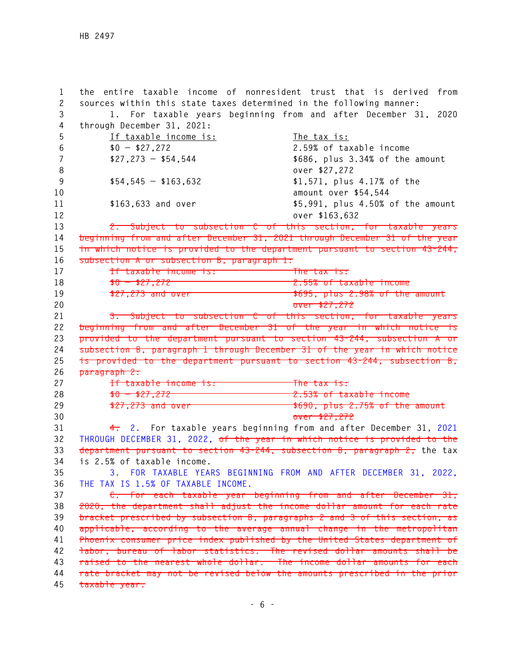**1 the entire taxable income of nonresident trust that is derived from 2 sources within this state taxes determined in the following manner: 3 1. For taxable years beginning from and after December 31, 2020 4 through December 31, 2021: 5 If taxable income is: The tax is: 6 \$0 — \$27,272 2.59% of taxable income 7 \$27,273 — \$54,544 \$686, plus 3.34% of the amount 8 over \$27,272 9 \$54,545 — \$163,632 \$1,571, plus 4.17% of the 10 amount over \$54,544 11 \$163,633 and over \$5,991, plus 4.50% of the amount 12 over \$163,632 13 2. Subject to subsection C of this section, for taxable years 14 beginning from and after December 31, 2021 through December 31 of the year 15 in which notice is provided to the department pursuant to section 43-244, 16 subsection A or subsection B, paragraph 1: 17 If taxable income is: The tax is: 18 \$0 — \$27,272 2.55% of taxable income**  19 **\$27,273 and over 19 10 100 \$695, plus 2.98% of the amount 20 over \$27,272 21 3. Subject to subsection C of this section, for taxable years 22 beginning from and after December 31 of the year in which notice is 23 provided to the department pursuant to section 43-244, subsection A or 24 subsection B, paragraph 1 through December 31 of the year in which notice 25 is provided to the department pursuant to section 43-244, subsection B, 26 paragraph 2: 27 If taxable income is: The tax is: 28 \$0 — \$27,272 2.53% of taxable income 29 \$27,273 and over \$690, plus 2.75% of the amount 30 over \$27,272 31 4. 2. For taxable years beginning from and after December 31, 2021 32 THROUGH DECEMBER 31, 2022, of the year in which notice is provided to the 33 department pursuant to section 43-244, subsection B, paragraph 2, the tax 34 is 2.5% of taxable income. 35 3. FOR TAXABLE YEARS BEGINNING FROM AND AFTER DECEMBER 31, 2022, 36 THE TAX IS 1.5% OF TAXABLE INCOME. 37 C. For each taxable year beginning from and after December 31, 38 2020, the department shall adjust the income dollar amount for each rate 39 bracket prescribed by subsection B, paragraphs 2 and 3 of this section, as 40 applicable, according to the average annual change in the metropolitan 41 Phoenix consumer price index published by the United States department of 42 labor, bureau of labor statistics. The revised dollar amounts shall be 43 raised to the nearest whole dollar. The income dollar amounts for each 44 rate bracket may not be revised below the amounts prescribed in the prior 45 taxable year.**